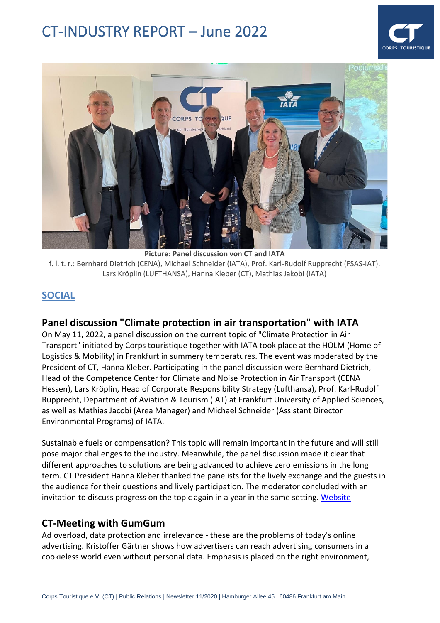



**Picture: Panel discussion von CT and IATA** f. l. t. r.: Bernhard Dietrich (CENA), Michael Schneider (IATA), Prof. Karl-Rudolf Rupprecht (FSAS-IAT), Lars Kröplin (LUFTHANSA), Hanna Kleber (CT), Mathias Jakobi (IATA)

### **SOCIAL**

#### **Panel discussion "Climate protection in air transportation" with IATA**

On May 11, 2022, a panel discussion on the current topic of "Climate Protection in Air Transport" initiated by Corps touristique together with IATA took place at the HOLM (Home of Logistics & Mobility) in Frankfurt in summery temperatures. The event was moderated by the President of CT, Hanna Kleber. Participating in the panel discussion were Bernhard Dietrich, Head of the Competence Center for Climate and Noise Protection in Air Transport (CENA Hessen), Lars Kröplin, Head of Corporate Responsibility Strategy (Lufthansa), Prof. Karl-Rudolf Rupprecht, Department of Aviation & Tourism (IAT) at Frankfurt University of Applied Sciences, as well as Mathias Jacobi (Area Manager) and Michael Schneider (Assistant Director Environmental Programs) of IATA.

Sustainable fuels or compensation? This topic will remain important in the future and will still pose major challenges to the industry. Meanwhile, the panel discussion made it clear that different approaches to solutions are being advanced to achieve zero emissions in the long term. CT President Hanna Kleber thanked the panelists for the lively exchange and the guests in the audience for their questions and lively participation. The moderator concluded with an invitation to discuss progress on the topic again in a year in the same setting. [Website](https://corps-touristique.de/podiumsdiskussion-klimaschutz-im-luftverkehr)

#### **CT-Meeting with GumGum**

Ad overload, data protection and irrelevance - these are the problems of today's online advertising. Kristoffer Gärtner shows how advertisers can reach advertising consumers in a cookieless world even without personal data. Emphasis is placed on the right environment,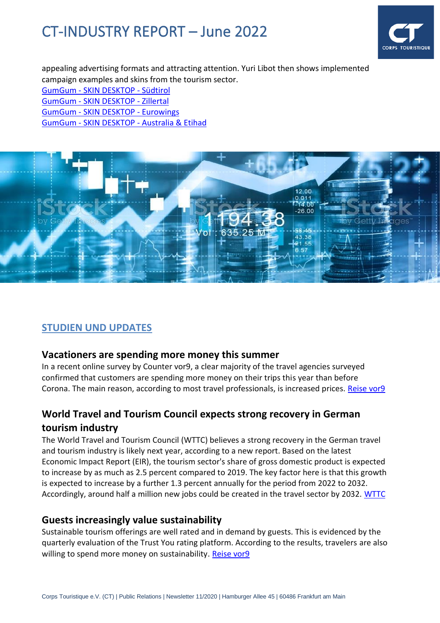

appealing advertising formats and attracting attention. Yuri Libot then shows implemented campaign examples and skins from the tourism sector.

GumGum - [SKIN DESKTOP -](https://preview.partners.gumgum.com/97498) Südtirol GumGum - [SKIN DESKTOP -](https://preview.partners.gumgum.com/56006) Zillertal GumGum - [SKIN DESKTOP -](https://preview.partners.gumgum.com/92127) Eurowings GumGum - SKIN DESKTOP - [Australia & Etihad](https://preview.partners.gumgum.com/61225)



## **STUDIEN UND UPDATES**

#### **Vacationers are spending more money this summer**

In a recent online survey by Counter vor9, a clear majority of the travel agencies surveyed confirmed that customers are spending more money on their trips this year than before Corona. The main reason, according to most travel professionals, is increased prices. [Reise vor9](https://mail.reisevor9.de/i/oayTmMDbUqRcTcJvUa1gAGfC3oXTd4yi4SuF44whEko)

# **World Travel and Tourism Council expects strong recovery in German tourism industry**

The World Travel and Tourism Council (WTTC) believes a strong recovery in the German travel and tourism industry is likely next year, according to a new report. Based on the latest Economic Impact Report (EIR), the tourism sector's share of gross domestic product is expected to increase by as much as 2.5 percent compared to 2019. The key factor here is that this growth is expected to increase by a further 1.3 percent annually for the period from 2022 to 2032. Accordingly, around half a million new jobs could be created in the travel sector by 2032. [WTTC](https://newslettertogo.com/om24s5if-rstcj2lg-4i66mibq-16xj)

#### **Guests increasingly value sustainability**

Sustainable tourism offerings are well rated and in demand by guests. This is evidenced by the quarterly evaluation of the Trust You rating platform. According to the results, travelers are also willing to spend more money on sustainability. [Reise vor9](https://mail.reisevor9.de/i/795wM0nLrleQP_zV2QjlUIOVZq750IIprHw6sXnltMU)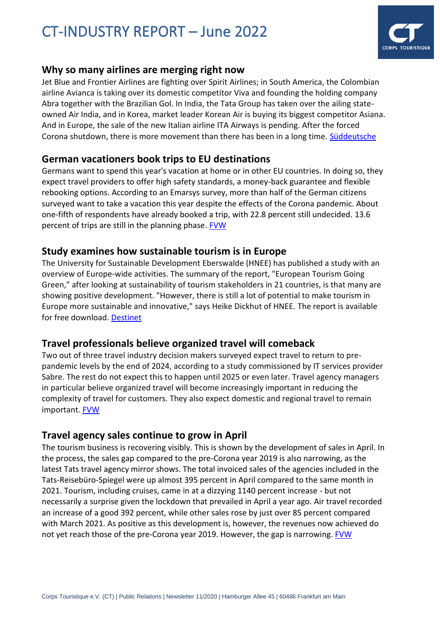

### **Why so many airlines are merging right now**

Jet Blue and Frontier Airlines are fighting over Spirit Airlines; in South America, the Colombian airline Avianca is taking over its domestic competitor Viva and founding the holding company Abra together with the Brazilian Gol. In India, the Tata Group has taken over the ailing stateowned Air India, and in Korea, market leader Korean Air is buying its biggest competitor Asiana. And in Europe, the sale of the new Italian airline ITA Airways is pending. After the forced Corona shutdown, there is more movement than there has been in a long time. [Süddeutsche](https://mail.countervor9.de/i/IjCRqw3ZA4SSG2CG4w_joNkH222A-EXnPEDpPYMfzn0)

### **German vacationers book trips to EU destinations**

Germans want to spend this year's vacation at home or in other EU countries. In doing so, they expect travel providers to offer high safety standards, a money-back guarantee and flexible rebooking options. According to an Emarsys survey, more than half of the German citizens surveyed want to take a vacation this year despite the effects of the Corona pandemic. About one-fifth of respondents have already booked a trip, with 22.8 percent still undecided. 13.6 percent of trips are still in the planning phase. [FVW](https://www.fvw.de/touristik/datenanalyse/umfrage-deutsche-urlauber-buchen-im-eu-ausland-225924?utm_source=%2Fmeta%2Fnewsletter%2Ffvwamnachmittag&utm_medium=newsletter&utm_campaign=nl4653&utm_term=160de028eaacebc059bd8b03e3a9cc09)

#### **Study examines how sustainable tourism is in Europe**

The University for Sustainable Development Eberswalde (HNEE) has published a study with an overview of Europe-wide activities. The summary of the report, "European Tourism Going Green," after looking at sustainability of tourism stakeholders in 21 countries, is that many are showing positive development. "However, there is still a lot of potential to make tourism in Europe more sustainable and innovative," says Heike Dickhut of HNEE. The report is available for free download. [Destinet](https://mail.reisevor9.de/i/U8MDlIOg9u6l8iVEvOI0IjpVRqbyVky_IH7O_t507b4)

## **Travel professionals believe organized travel will comeback**

Two out of three travel industry decision makers surveyed expect travel to return to prepandemic levels by the end of 2024, according to a study commissioned by IT services provider Sabre. The rest do not expect this to happen until 2025 or even later. Travel agency managers in particular believe organized travel will become increasingly important in reducing the complexity of travel for customers. They also expect domestic and regional travel to remain important[. FVW](https://mail.reisevor9.de/i/B2QLxtMLjfwh6kWpprNfqJ983ZdlY-_8ZMkJj3PQIIA)

#### **Travel agency sales continue to grow in April**

The tourism business is recovering visibly. This is shown by the development of sales in April. In the process, the sales gap compared to the pre-Corona year 2019 is also narrowing, as the latest Tats travel agency mirror shows. The total invoiced sales of the agencies included in the Tats-Reisebüro-Spiegel were up almost 395 percent in April compared to the same month in 2021. Tourism, including cruises, came in at a dizzying 1140 percent increase - but not necessarily a surprise given the lockdown that prevailed in April a year ago. Air travel recorded an increase of a good 392 percent, while other sales rose by just over 85 percent compared with March 2021. As positive as this development is, however, the revenues now achieved do not yet reach those of the pre-Corona year 2019. However, the gap is narrowing. [FVW](https://www.fvw.de/touristik/datenanalyse/tats-reisebuero-spiegel-reisebuero-umsaetze-legen-im-april-weiter-zu-225883?utm_source=%2Fmeta%2Fnewsletter%2Ffvwammorgen&utm_medium=newsletter&utm_campaign=nl4646&utm_term=984f4a0b1f80072f8710e3b9f7bb3931)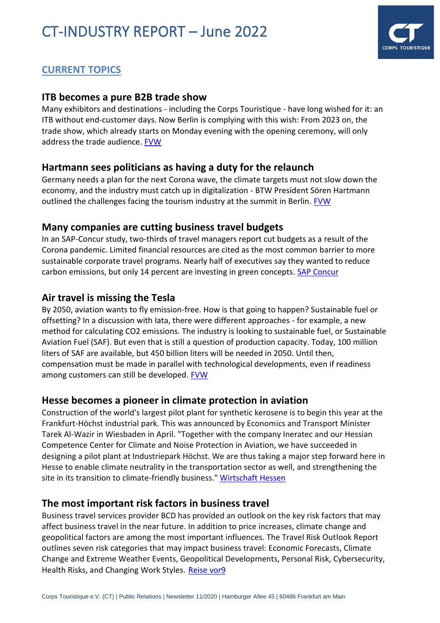

# **CURRENT TOPICS**

#### **[ITB becomes a pure B2B trade show](https://click.mc.fvw-medien.de/?qs=2137810cb97940b7b8a806c1be3eeaabeff92135736b99051177901aeede330214f8104829e54eedb35e9c0f9d0864b302bfe4b27d1babfc8ee045a9eba3d318)**

Many exhibitors and destinations - including the Corps Touristique - have long wished for it: an ITB without end-customer days. Now Berlin is complying with this wish: From 2023 on, the trade show, which already starts on Monday evening with the opening ceremony, will only address the trade audience. [FVW](https://www.fvw.de/touristik/itb/ab-2023-ohne-endkunden-itb-wird-zu-reiner-b2b-messe-226440)

#### **Hartmann sees politicians as having a duty for the relaunch**

Germany needs a plan for the next Corona wave, the climate targets must not slow down the economy, and the industry must catch up in digitalization - BTW President Sören Hartmann outlined the challenges facing the tourism industry at the summit in Berlin. [FVW](https://www.fvw.de/touristik/vertrieb/btw-tourismusgipfel-in-berlin-hartmann-sieht-politik-beim-neustart-in-der-pflicht-226384)

#### **Many companies are cutting business travel budgets**

In an SAP-Concur study, two-thirds of travel managers report cut budgets as a result of the Corona pandemic. Limited financial resources are cited as the most common barrier to more sustainable corporate travel programs. Nearly half of executives say they wanted to reduce carbon emissions, but only 14 percent are investing in green concepts. [SAP Concur](https://mail.countervor9.de/i/Y-Pym90SDohBilEsenebLKqtfYFU2E2BgwrivAV-628)

#### **Air travel is missing the Tesla**

By 2050, aviation wants to fly emission-free. How is that going to happen? Sustainable fuel or offsetting? In a discussion with Iata, there were different approaches - for example, a new method for calculating CO2 emissions. The industry is looking to sustainable fuel, or Sustainable Aviation Fuel (SAF). But even that is still a question of production capacity. Today, 100 million liters of SAF are available, but 450 billion liters will be needed in 2050. Until then, compensation must be made in parallel with technological developments, even if readiness among customers can still be developed. [FVW](https://www.fvw.de/touristik/verkehr/diskussion-ueber-klimaschutz-im-luftverkehr-fehlt-der-tesla-225998?utm_source=%2Fmeta%2Fnewsletter%2Ffvwammorgen&utm_medium=newsletter&utm_campaign=nl4665&utm_term=984f4a0b1f80072f8710e3b9f7bb3931)

#### **Hesse becomes a pioneer in climate protection in aviation**

Construction of the world's largest pilot plant for synthetic kerosene is to begin this year at the Frankfurt-Höchst industrial park. This was announced by Economics and Transport Minister Tarek Al-Wazir in Wiesbaden in April. "Together with the company Ineratec and our Hessian Competence Center for Climate and Noise Protection in Aviation, we have succeeded in designing a pilot plant at Industriepark Höchst. We are thus taking a major step forward here in Hesse to enable climate neutrality in the transportation sector as well, and strengthening the site in its transition to climate-friendly business." [Wirtschaft Hessen](https://wirtschaft.hessen.de/presse/pilotanlage-fuer-synthetisches-kerosin-kommt-nach-hessen)

#### **The most important risk factors in business travel**

Business travel services provider BCD has provided an outlook on the key risk factors that may affect business travel in the near future. In addition to price increases, climate change and geopolitical factors are among the most important influences. The Travel Risk Outlook Report outlines seven risk categories that may impact business travel: Economic Forecasts, Climate Change and Extreme Weather Events, Geopolitical Developments, Personal Risk, Cybersecurity, Health Risks, and Changing Work Styles. [Reise vor9](https://mail.reisevor9.de/i/0om3oaBoaPm_JGGhnszUc4zoo4zY2gIZ5Vw2LmKtWTI)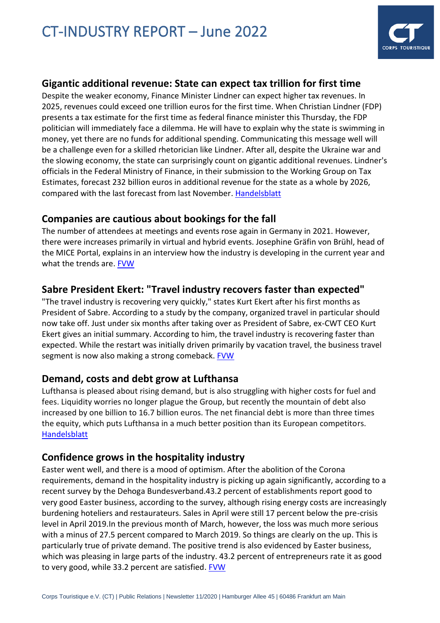

### **Gigantic additional revenue: State can expect tax trillion for first time**

Despite the weaker economy, Finance Minister Lindner can expect higher tax revenues. In 2025, revenues could exceed one trillion euros for the first time. When Christian Lindner (FDP) presents a tax estimate for the first time as federal finance minister this Thursday, the FDP politician will immediately face a dilemma. He will have to explain why the state is swimming in money, yet there are no funds for additional spending. Communicating this message well will be a challenge even for a skilled rhetorician like Lindner. After all, despite the Ukraine war and the slowing economy, the state can surprisingly count on gigantic additional revenues. Lindner's officials in the Federal Ministry of Finance, in their submission to the Working Group on Tax Estimates, forecast 232 billion euros in additional revenue for the state as a whole by 2026, compared with the last forecast from last November. [Handelsblatt](https://www.handelsblatt.com/politik/deutschland/neue-prognose-gigantische-mehreinnahmen-staat-kann-erstmals-mit-steuer-billion-rechnen/28317678.html?utm_campaign=hb-update&utm_content=17052022&utm_medium=nl&utm_source=red)

#### **Companies are cautious about bookings for the fall**

The number of attendees at meetings and events rose again in Germany in 2021. However, there were increases primarily in virtual and hybrid events. Josephine Gräfin von Brühl, head of the MICE Portal, explains in an interview how the industry is developing in the current year and what the trends are. [FVW](https://www.fvw.de/businesstravel/mice/meeting-markt-firmen-sind-bei-buchungen-fuer-den-herbst-vorsichtig-225804?utm_source=%2Fmeta%2Fnewsletter%2Fbiztravelnews&utm_medium=newsletter&utm_campaign=nl4650&utm_term=160de028eaacebc059bd8b03e3a9cc09)

### **Sabre President Ekert: "Travel industry recovers faster than expected"**

"The travel industry is recovering very quickly," states Kurt Ekert after his first months as President of Sabre. According to a study by the company, organized travel in particular should now take off. Just under six months after taking over as President of Sabre, ex-CWT CEO Kurt Ekert gives an initial summary. According to him, the travel industry is recovering faster than expected. While the restart was initially driven primarily by vacation travel, the business travel segment is now also making a strong comeback. **FVW** 

#### **Demand, costs and debt grow at Lufthansa**

Lufthansa is pleased about rising demand, but is also struggling with higher costs for fuel and fees. Liquidity worries no longer plague the Group, but recently the mountain of debt also increased by one billion to 16.7 billion euros. The net financial debt is more than three times the equity, which puts Lufthansa in a much better position than its European competitors. [Handelsblatt](https://mail.reisevor9.de/i/dULHwd3gW8Yh7MlOnF3TFeddTHSBwdlhgVex9Y8hd6s)

#### **Confidence grows in the hospitality industry**

Easter went well, and there is a mood of optimism. After the abolition of the Corona requirements, demand in the hospitality industry is picking up again significantly, according to a recent survey by the Dehoga Bundesverband.43.2 percent of establishments report good to very good Easter business, according to the survey, although rising energy costs are increasingly burdening hoteliers and restaurateurs. Sales in April were still 17 percent below the pre-crisis level in April 2019.In the previous month of March, however, the loss was much more serious with a minus of 27.5 percent compared to March 2019. So things are clearly on the up. This is particularly true of private demand. The positive trend is also evidenced by Easter business, which was pleasing in large parts of the industry. 43.2 percent of entrepreneurs rate it as good to very good, while 33.2 percent are satisfied. **FVW**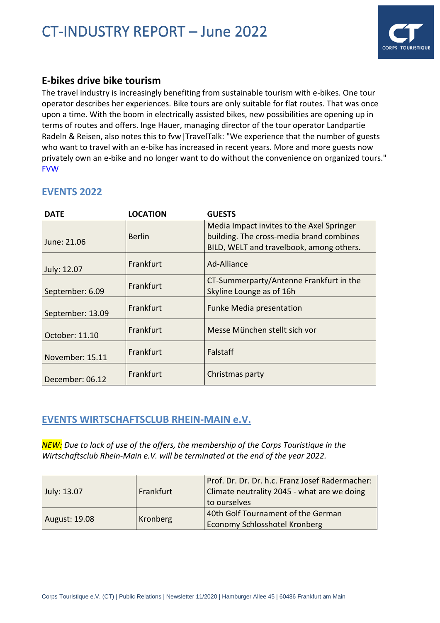

### **E-bikes drive bike tourism**

The travel industry is increasingly benefiting from sustainable tourism with e-bikes. One tour operator describes her experiences. Bike tours are only suitable for flat routes. That was once upon a time. With the boom in electrically assisted bikes, new possibilities are opening up in terms of routes and offers. Inge Hauer, managing director of the tour operator Landpartie Radeln & Reisen, also notes this to fvw|TravelTalk: "We experience that the number of guests who want to travel with an e-bike has increased in recent years. More and more guests now privately own an e-bike and no longer want to do without the convenience on organized tours." [FVW](https://www.fvw.de/touristik/veranstalter/groessere-angebotsvielfalt-e-bikes-treiben-den-rad-tourismus-an-225868?utm_source=%2Fmeta%2Fnewsletter%2Ffvwammorgen&utm_medium=newsletter&utm_campaign=nl4646&utm_term=984f4a0b1f80072f8710e3b9f7bb3931)

| <b>DATE</b>      | <b>LOCATION</b> | <b>GUESTS</b>                                                                                                                     |
|------------------|-----------------|-----------------------------------------------------------------------------------------------------------------------------------|
| June: 21.06      | <b>Berlin</b>   | Media Impact invites to the Axel Springer<br>building. The cross-media brand combines<br>BILD, WELT and travelbook, among others. |
| July: 12.07      | Frankfurt       | Ad-Alliance                                                                                                                       |
| September: 6.09  | Frankfurt       | CT-Summerparty/Antenne Frankfurt in the<br>Skyline Lounge as of 16h                                                               |
| September: 13.09 | Frankfurt       | Funke Media presentation                                                                                                          |
| October: 11.10   | Frankfurt       | Messe München stellt sich vor                                                                                                     |
| November: 15.11  | Frankfurt       | Falstaff                                                                                                                          |
| December: 06.12  | Frankfurt       | Christmas party                                                                                                                   |

### **EVENTS 2022**

## **EVENTS WIRTSCHAFTSCLUB RHEIN-MAIN e.V.**

*NEW: Due to lack of use of the offers, the membership of the Corps Touristique in the Wirtschaftsclub Rhein-Main e.V. will be terminated at the end of the year 2022.*

| July: 13.07   | Frankfurt | Prof. Dr. Dr. Dr. h.c. Franz Josef Radermacher:<br>Climate neutrality 2045 - what are we doing<br>to ourselves |
|---------------|-----------|----------------------------------------------------------------------------------------------------------------|
| August: 19.08 | Kronberg  | 40th Golf Tournament of the German<br><b>Economy Schlosshotel Kronberg</b>                                     |